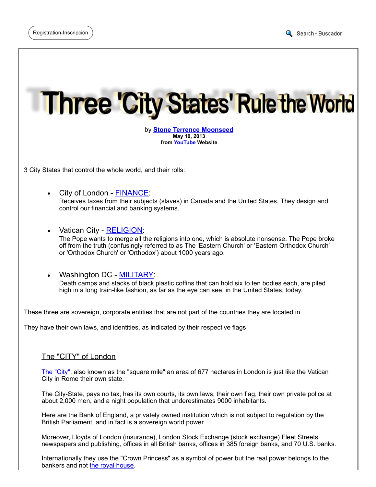